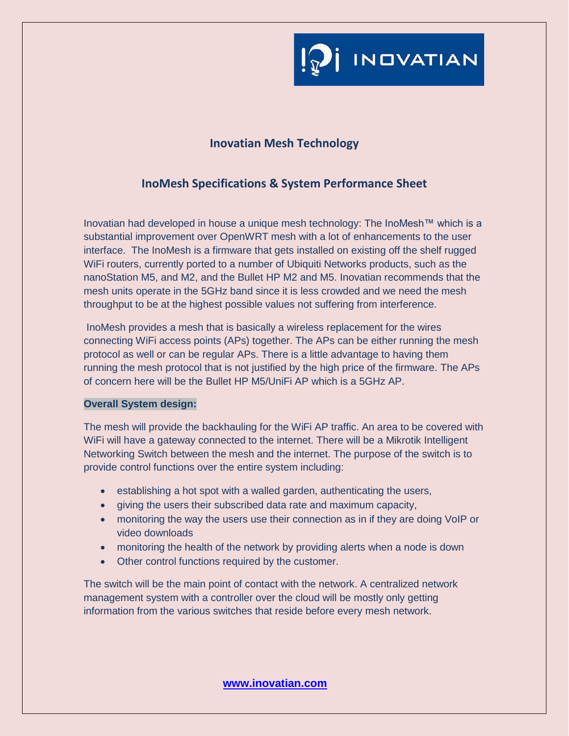

## **Inovatian Mesh Technology**

# **InoMesh Specifications & System Performance Sheet**

Inovatian had developed in house a unique mesh technology: The InoMesh™ which is a substantial improvement over OpenWRT mesh with a lot of enhancements to the user interface. The InoMesh is a firmware that gets installed on existing off the shelf rugged WiFi routers, currently ported to a number of Ubiquiti Networks products, such as the nanoStation M5, and M2, and the Bullet HP M2 and M5. Inovatian recommends that the mesh units operate in the 5GHz band since it is less crowded and we need the mesh throughput to be at the highest possible values not suffering from interference.

InoMesh provides a mesh that is basically a wireless replacement for the wires connecting WiFi access points (APs) together. The APs can be either running the mesh protocol as well or can be regular APs. There is a little advantage to having them running the mesh protocol that is not justified by the high price of the firmware. The APs of concern here will be the Bullet HP M5/UniFi AP which is a 5GHz AP.

### **Overall System design:**

The mesh will provide the backhauling for the WiFi AP traffic. An area to be covered with WiFi will have a gateway connected to the internet. There will be a Mikrotik Intelligent Networking Switch between the mesh and the internet. The purpose of the switch is to provide control functions over the entire system including:

- establishing a hot spot with a walled garden, authenticating the users,
- giving the users their subscribed data rate and maximum capacity,
- monitoring the way the users use their connection as in if they are doing VoIP or video downloads
- monitoring the health of the network by providing alerts when a node is down
- Other control functions required by the customer.

The switch will be the main point of contact with the network. A centralized network management system with a controller over the cloud will be mostly only getting information from the various switches that reside before every mesh network.

**www.inovatian.com**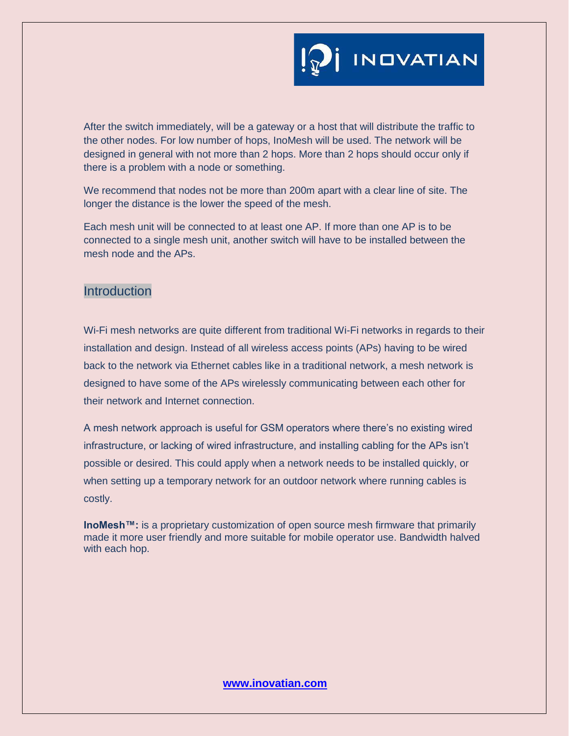After the switch immediately, will be a gateway or a host that will distribute the traffic to the other nodes. For low number of hops, InoMesh will be used. The network will be designed in general with not more than 2 hops. More than 2 hops should occur only if there is a problem with a node or something.

We recommend that nodes not be more than 200m apart with a clear line of site. The longer the distance is the lower the speed of the mesh.

Each mesh unit will be connected to at least one AP. If more than one AP is to be connected to a single mesh unit, another switch will have to be installed between the mesh node and the APs.

## **Introduction**

Wi-Fi mesh networks are quite different from traditional Wi-Fi networks in regards to their installation and design. Instead of all wireless access points (APs) having to be wired back to the network via Ethernet cables like in a traditional network, a mesh network is designed to have some of the APs wirelessly communicating between each other for their network and Internet connection.

A mesh network approach is useful for GSM operators where there's no existing wired infrastructure, or lacking of wired infrastructure, and installing cabling for the APs isn't possible or desired. This could apply when a network needs to be installed quickly, or when setting up a temporary network for an outdoor network where running cables is costly.

**InoMesh™:** is a proprietary customization of open source mesh firmware that primarily made it more user friendly and more suitable for mobile operator use. Bandwidth halved with each hop.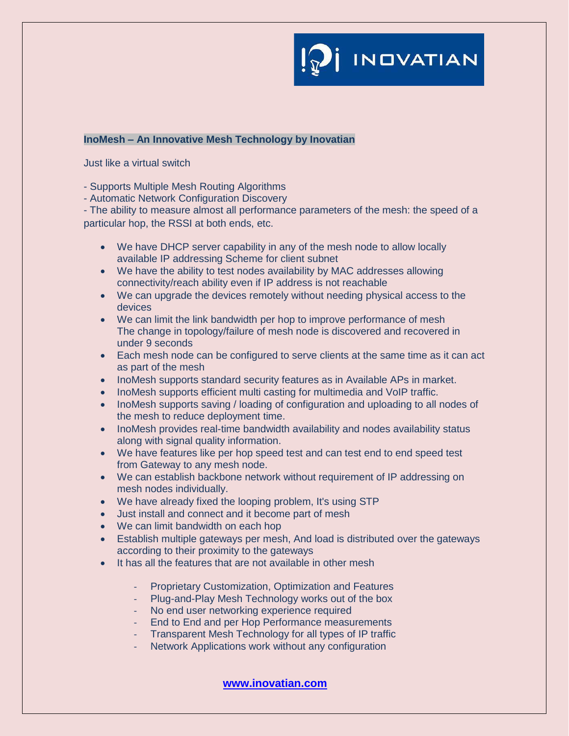

#### **InoMesh – An Innovative Mesh Technology by Inovatian**

Just like a virtual switch

- Supports Multiple Mesh Routing Algorithms

- Automatic Network Configuration Discovery

- The ability to measure almost all performance parameters of the mesh: the speed of a particular hop, the RSSI at both ends, etc.

- We have DHCP server capability in any of the mesh node to allow locally available IP addressing Scheme for client subnet
- We have the ability to test nodes availability by MAC addresses allowing connectivity/reach ability even if IP address is not reachable
- We can upgrade the devices remotely without needing physical access to the devices
- We can limit the link bandwidth per hop to improve performance of mesh The change in topology/failure of mesh node is discovered and recovered in under 9 seconds
- Each mesh node can be configured to serve clients at the same time as it can act as part of the mesh
- InoMesh supports standard security features as in Available APs in market.
- InoMesh supports efficient multi casting for multimedia and VoIP traffic.
- InoMesh supports saving / loading of configuration and uploading to all nodes of the mesh to reduce deployment time.
- InoMesh provides real-time bandwidth availability and nodes availability status along with signal quality information.
- We have features like per hop speed test and can test end to end speed test from Gateway to any mesh node.
- We can establish backbone network without requirement of IP addressing on mesh nodes individually.
- We have already fixed the looping problem, It's using STP
- Just install and connect and it become part of mesh
- We can limit bandwidth on each hop
- Establish multiple gateways per mesh, And load is distributed over the gateways according to their proximity to the gateways
- It has all the features that are not available in other mesh
	- Proprietary Customization, Optimization and Features
	- Plug-and-Play Mesh Technology works out of the box
	- No end user networking experience required
	- End to End and per Hop Performance measurements
	- Transparent Mesh Technology for all types of IP traffic
	- Network Applications work without any configuration

**www.inovatian.com**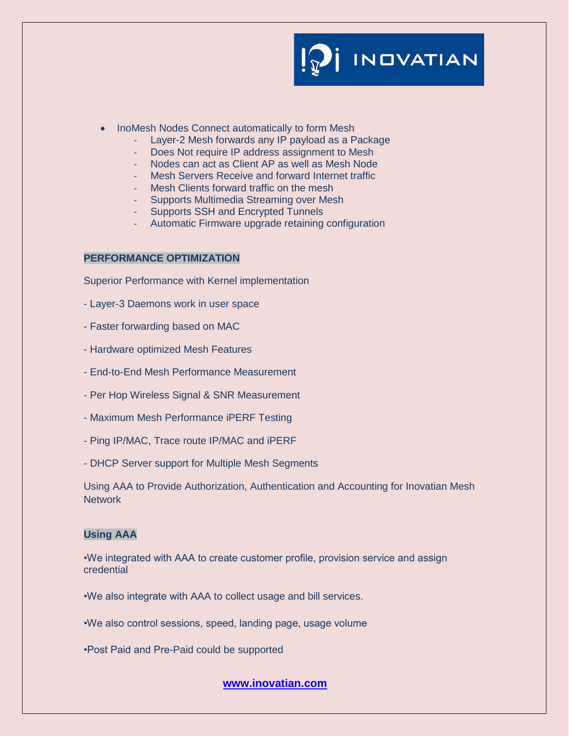INDVATIAN

- InoMesh Nodes Connect automatically to form Mesh
	- Layer-2 Mesh forwards any IP payload as a Package
	- Does Not require IP address assignment to Mesh
	- Nodes can act as Client AP as well as Mesh Node
	- Mesh Servers Receive and forward Internet traffic
	- Mesh Clients forward traffic on the mesh
	- Supports Multimedia Streaming over Mesh
	- Supports SSH and Encrypted Tunnels
	- Automatic Firmware upgrade retaining configuration

#### **PERFORMANCE OPTIMIZATION**

Superior Performance with Kernel implementation

- Layer-3 Daemons work in user space
- Faster forwarding based on MAC
- Hardware optimized Mesh Features
- End-to-End Mesh Performance Measurement
- Per Hop Wireless Signal & SNR Measurement
- Maximum Mesh Performance iPERF Testing
- Ping IP/MAC, Trace route IP/MAC and iPERF
- DHCP Server support for Multiple Mesh Segments

Using AAA to Provide Authorization, Authentication and Accounting for Inovatian Mesh **Network** 

#### **Using AAA**

•We integrated with AAA to create customer profile, provision service and assign credential

•We also integrate with AAA to collect usage and bill services.

•We also control sessions, speed, landing page, usage volume

•Post Paid and Pre-Paid could be supported

**www.inovatian.com**